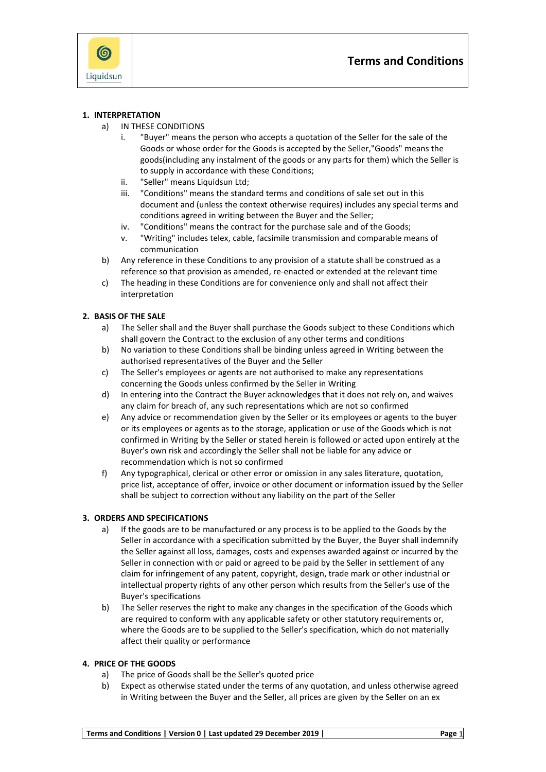

#### **1. INTERPRETATION**

- a) IN THESE CONDITIONS
	- i. "Buyer" means the person who accepts a quotation of the Seller for the sale of the Goods or whose order for the Goods is accepted by the Seller,"Goods" means the goods(including any instalment of the goods or any parts for them) which the Seller is to supply in accordance with these Conditions;
	- ii. "Seller" means Liquidsun Ltd:
	- iii. "Conditions" means the standard terms and conditions of sale set out in this document and (unless the context otherwise requires) includes any special terms and conditions agreed in writing between the Buyer and the Seller;
	- iv. "Conditions" means the contract for the purchase sale and of the Goods;
	- v. "Writing" includes telex, cable, facsimile transmission and comparable means of communication
- b) Any reference in these Conditions to any provision of a statute shall be construed as a reference so that provision as amended, re-enacted or extended at the relevant time
- c) The heading in these Conditions are for convenience only and shall not affect their interpretation

#### **2. BASIS OF THE SALE**

- a) The Seller shall and the Buyer shall purchase the Goods subject to these Conditions which shall govern the Contract to the exclusion of any other terms and conditions
- b) No variation to these Conditions shall be binding unless agreed in Writing between the authorised representatives of the Buyer and the Seller
- c) The Seller's employees or agents are not authorised to make any representations concerning the Goods unless confirmed by the Seller in Writing
- d) In entering into the Contract the Buyer acknowledges that it does not rely on, and waives any claim for breach of, any such representations which are not so confirmed
- e) Any advice or recommendation given by the Seller or its employees or agents to the buyer or its employees or agents as to the storage, application or use of the Goods which is not confirmed in Writing by the Seller or stated herein is followed or acted upon entirely at the Buyer's own risk and accordingly the Seller shall not be liable for any advice or recommendation which is not so confirmed
- f) Any typographical, clerical or other error or omission in any sales literature, quotation, price list, acceptance of offer, invoice or other document or information issued by the Seller shall be subject to correction without any liability on the part of the Seller

## **3. ORDERS AND SPECIFICATIONS**

- a) If the goods are to be manufactured or any process is to be applied to the Goods by the Seller in accordance with a specification submitted by the Buyer, the Buyer shall indemnify the Seller against all loss, damages, costs and expenses awarded against or incurred by the Seller in connection with or paid or agreed to be paid by the Seller in settlement of any claim for infringement of any patent, copyright, design, trade mark or other industrial or intellectual property rights of any other person which results from the Seller's use of the Buyer's specifications
- b) The Seller reserves the right to make any changes in the specification of the Goods which are required to conform with any applicable safety or other statutory requirements or, where the Goods are to be supplied to the Seller's specification, which do not materially affect their quality or performance

#### **4. PRICE OF THE GOODS**

- a) The price of Goods shall be the Seller's quoted price
- b) Expect as otherwise stated under the terms of any quotation, and unless otherwise agreed in Writing between the Buyer and the Seller, all prices are given by the Seller on an ex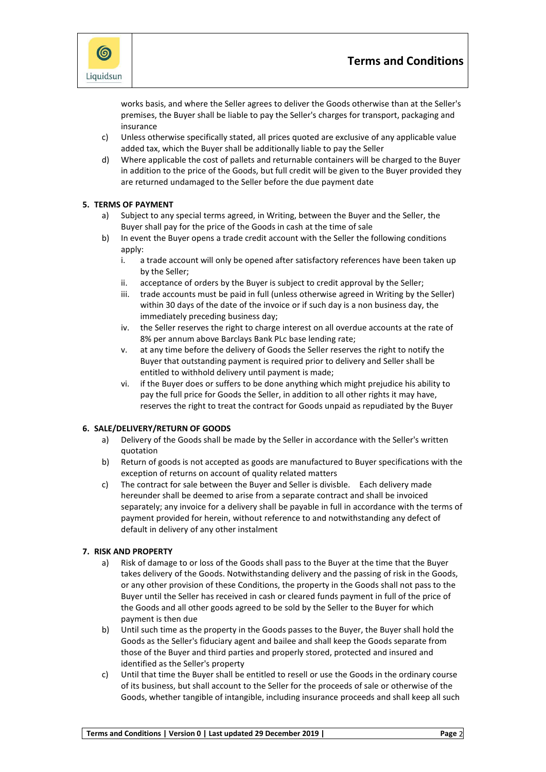

works basis, and where the Seller agrees to deliver the Goods otherwise than atthe Seller's premises, the Buyer shall be liable to pay the Seller's charges for transport, packaging and insurance

- c) Unless otherwise specifically stated, all prices quoted are exclusive of any applicable value added tax, which the Buyer shall be additionally liable to pay the Seller
- d) Where applicable the cost of pallets and returnable containers will be charged to the Buyer in addition to the price of the Goods, but full credit will be given to the Buyer provided they are returned undamaged to the Seller before the due payment date

# **5. TERMS OF PAYMENT**

- a) Subject to any special terms agreed, in Writing, between the Buyer and the Seller, the Buyer shall pay for the price of the Goods in cash at the time of sale
- b) In event the Buyer opens a trade credit account with the Seller the following conditions apply:
	- i. a trade account will only be opened after satisfactory references have been taken up by the Seller;
	- ii. acceptance of orders by the Buyer is subject to credit approval by the Seller;
	- iii. trade accounts must be paid in full (unless otherwise agreed in Writing by the Seller) within 30 days of the date of the invoice or if such day is a non business day, the immediately preceding business day;
	- iv. the Seller reserves the right to charge interest on all overdue accounts at the rate of 8% per annum above Barclays Bank PLc base lending rate;
	- v. at any time before the delivery of Goods the Seller reserves the right to notify the Buyer that outstanding payment is required prior to delivery and Seller shall be entitled to withhold delivery until payment is made;
	- vi. if the Buyer does or suffers to be done anything which might prejudice his ability to pay the full price for Goods the Seller, in addition to all other rights it may have, reserves the right to treat the contract for Goods unpaid as repudiated by the Buyer

## **6. SALE/DELIVERY/RETURN OF GOODS**

- a) Delivery of the Goods shall be made by the Seller in accordance with the Seller's written quotation
- b) Return of goods is not accepted as goods are manufactured to Buyer specifications with the exception of returns on account of quality related matters
- c) The contract for sale between the Buyer and Seller is divisble. Each delivery made hereunder shall be deemed to arise from a separate contract and shall be invoiced separately; any invoice for a delivery shall be payable in full in accordance with the terms of payment provided for herein, without reference to and notwithstanding any defect of default in delivery of any other instalment

## **7. RISK AND PROPERTY**

- a) Risk of damage to or loss of the Goods shall pass to the Buyer at the time that the Buyer takes delivery of the Goods. Notwithstanding delivery and the passing of risk in the Goods, or any other provision of these Conditions, the property in the Goods shall not pass to the Buyer until the Seller has received in cash or cleared funds payment in full of the price of the Goods and all other goods agreed to be sold by the Seller to the Buyer for which payment is then due
- b) Until such time as the property in the Goods passes to the Buyer, the Buyer shall hold the Goods as the Seller's fiduciary agent and bailee and shall keep the Goods separate from those of the Buyer and third parties and properly stored, protected and insured and identified as the Seller's property
- c) Until that time the Buyer shall be entitled to resell or use the Goods in the ordinary course of its business, but shall account to the Seller for the proceeds of sale or otherwise of the Goods, whether tangible of intangible, including insurance proceeds and shall keep all such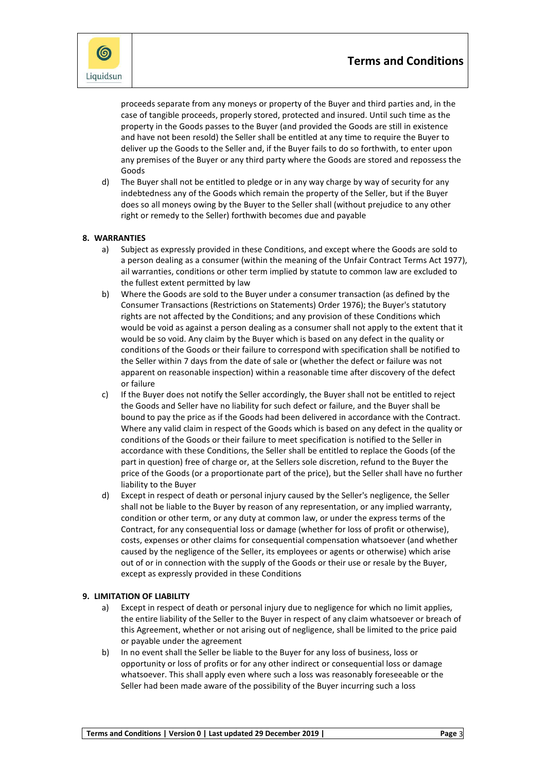



proceeds separate from any moneys or property of the Buyer and third parties and, in the case of tangible proceeds, properly stored, protected and insured. Until such time as the property in the Goods passes to the Buyer (and provided the Goods are still in existence and have not been resold) the Seller shall be entitled at any time to require the Buyer to deliver up the Goods to the Seller and, if the Buyer fails to do so forthwith, to enter upon any premises of the Buyer or any third party where the Goods are stored and repossess the Goods

d) The Buyer shall not be entitled to pledge or in any way charge by way of security for any indebtedness any of the Goods which remain the property of the Seller, but if the Buyer does so all moneys owing by the Buyer to the Seller shall (without prejudice to any other right or remedy to the Seller) forthwith becomes due and payable

## **8. WARRANTIES**

- a) Subject as expressly provided in these Conditions, and except where the Goods are sold to a person dealing as a consumer (within the meaning of the Unfair Contract Terms Act 1977), ail warranties, conditions or other term implied by statute to common law are excluded to the fullest extent permitted by law
- b) Where the Goods are sold to the Buyer under a consumer transaction (as defined by the Consumer Transactions (Restrictions on Statements) Order 1976); the Buyer's statutory rights are not affected by the Conditions; and any provision of these Conditions which would be void as against a person dealing as a consumer shall not apply to the extent that it would be so void. Any claim by the Buyer which is based on any defect in the quality or conditions of the Goods or their failure to correspond with specification shall be notified to the Seller within 7 days from the date of sale or (whether the defect or failure was not apparent on reasonable inspection) within a reasonable time after discovery of the defect or failure
- c) If the Buyer does not notify the Seller accordingly, the Buyer shall not be entitled to reject the Goods and Seller have no liability for such defect or failure, and the Buyer shall be bound to pay the price as if the Goods had been delivered in accordance with the Contract. Where any valid claim in respect of the Goods which is based on any defect in the quality or conditions of the Goods or their failure to meet specification is notified to the Seller in accordance with these Conditions, the Seller shall be entitled to replace the Goods (of the part in question) free of charge or, at the Sellers sole discretion, refund to the Buyer the price of the Goods (or a proportionate part of the price), but the Seller shall have no further liability to the Buyer
- d) Except in respect of death or personal injury caused by the Seller's negligence, the Seller shall not be liable to the Buyer by reason of any representation, or any implied warranty, condition or other term, or any duty at common law, or under the express terms of the Contract, for any consequential loss or damage (whether for loss of profit or otherwise), costs, expenses or other claims for consequential compensation whatsoever (and whether caused by the negligence of the Seller, its employees or agents or otherwise) which arise out of or in connection with the supply of the Goods or their use or resale by the Buyer, except as expressly provided in these Conditions

#### **9. LIMITATION OF LIABILITY**

- a) Except in respect of death or personal injury due to negligence for which no limit applies, the entire liability of the Seller to the Buyer in respect of any claim whatsoever or breach of this Agreement, whether or not arising out of negligence, shall be limited to the price paid or payable under the agreement
- b) In no event shall the Seller be liable to the Buyer for any loss of business, loss or opportunity or loss of profits or for any other indirect or consequential loss or damage whatsoever. This shall apply even where such a loss was reasonably foreseeable or the Seller had been made aware of the possibility of the Buyer incurring such a loss